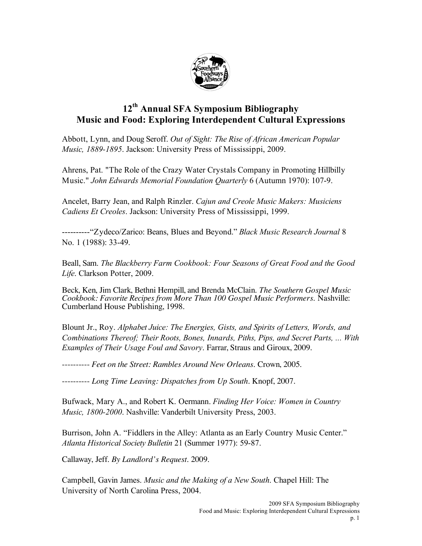

## **12th Annual SFA Symposium Bibliography Music and Food: Exploring Interdependent Cultural Expressions**

Abbott, Lynn, and Doug Seroff. *Out of Sight: The Rise of African American Popular Music, 1889-1895*. Jackson: University Press of Mississippi, 2009.

Ahrens, Pat. "The Role of the Crazy Water Crystals Company in Promoting Hillbilly Music." *John Edwards Memorial Foundation Quarterly* 6 (Autumn 1970): 107-9.

Ancelet, Barry Jean, and Ralph Rinzler. *Cajun and Creole Music Makers: Musiciens Cadiens Et Creoles*. Jackson: University Press of Mississippi, 1999.

----------"Zydeco/Zarico: Beans, Blues and Beyond." *Black Music Research Journal* 8 No. 1 (1988): 33-49.

Beall, Sam. *The Blackberry Farm Cookbook: Four Seasons of Great Food and the Good Life*. Clarkson Potter, 2009.

Beck, Ken, Jim Clark, Bethni Hempill, and Brenda McClain. *The Southern Gospel Music Cookbook: Favorite Recipes from More Than 100 Gospel Music Performers*. Nashville: Cumberland House Publishing, 1998.

Blount Jr., Roy. *Alphabet Juice: The Energies, Gists, and Spirits of Letters, Words, and Combinations Thereof; Their Roots, Bones, Innards, Piths, Pips, and Secret Parts, ... With Examples of Their Usage Foul and Savory*. Farrar, Straus and Giroux, 2009.

---------- *Feet on the Street: Rambles Around New Orleans*. Crown, 2005.

---------- *Long Time Leaving: Dispatches from Up South*. Knopf, 2007.

Bufwack, Mary A., and Robert K. Oermann. *Finding Her Voice: Women in Country Music, 1800-2000*. Nashville: Vanderbilt University Press, 2003.

Burrison, John A. "Fiddlers in the Alley: Atlanta as an Early Country Music Center." *Atlanta Historical Society Bulletin* 21 (Summer 1977): 59-87.

Callaway, Jeff. *By Landlord's Request*. 2009.

Campbell, Gavin James. *Music and the Making of a New South*. Chapel Hill: The University of North Carolina Press, 2004.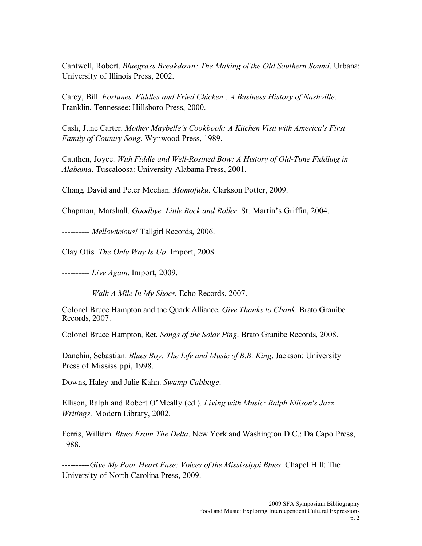Cantwell, Robert. *Bluegrass Breakdown: The Making of the Old Southern Sound*. Urbana: University of Illinois Press, 2002.

Carey, Bill. *Fortunes, Fiddles and Fried Chicken : A Business History of Nashville*. Franklin, Tennessee: Hillsboro Press, 2000.

Cash, June Carter. *Mother Maybelle's Cookbook: A Kitchen Visit with America's First Family of Country Song*. Wynwood Press, 1989.

Cauthen, Joyce. *With Fiddle and Well-Rosined Bow: A History of Old-Time Fiddling in Alabama*. Tuscaloosa: University Alabama Press, 2001.

Chang, David and Peter Meehan. *Momofuku*. Clarkson Potter, 2009.

Chapman, Marshall. *Goodbye, Little Rock and Roller*. St. Martin's Griffin, 2004.

---------- *Mellowicious!* Tallgirl Records, 2006.

Clay Otis. *The Only Way Is Up*. Import, 2008.

---------- *Live Again*. Import, 2009.

---------- *Walk A Mile In My Shoes.* Echo Records, 2007.

Colonel Bruce Hampton and the Quark Alliance. *Give Thanks to Chank*. Brato Granibe Records, 2007.

Colonel Bruce Hampton, Ret. *Songs of the Solar Ping*. Brato Granibe Records, 2008.

Danchin, Sebastian. *Blues Boy: The Life and Music of B.B. King*. Jackson: University Press of Mississippi, 1998.

Downs, Haley and Julie Kahn. *Swamp Cabbage.*

Ellison, Ralph and Robert O'Meally (ed.). *Living with Music: Ralph Ellison's Jazz Writings*. Modern Library, 2002.

Ferris, William. *Blues From The Delta*. New York and Washington D.C.: Da Capo Press, 1988.

----------*Give My Poor Heart Ease: Voices of the Mississippi Blues*. Chapel Hill: The University of North Carolina Press, 2009.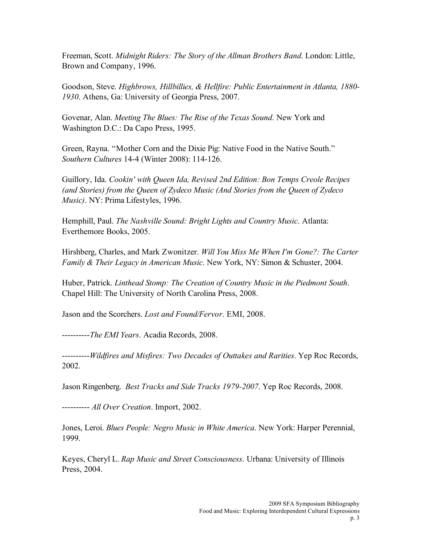Freeman, Scott. *Midnight Riders: The Story of the Allman Brothers Band*. London: Little, Brown and Company, 1996.

Goodson, Steve. *Highbrows, Hillbillies, & Hellfire: Public Entertainment in Atlanta, 1880- 1930*. Athens, Ga: University of Georgia Press, 2007.

Govenar, Alan. *Meeting The Blues: The Rise of the Texas Sound*. New York and Washington D.C.: Da Capo Press, 1995.

Green, Rayna. "Mother Corn and the Dixie Pig: Native Food in the Native South." *Southern Cultures* 14-4 (Winter 2008): 114-126.

Guillory, Ida. *Cookin' with Queen Ida, Revised 2nd Edition: Bon Temps Creole Recipes (and Stories) from the Queen of Zydeco Music (And Stories from the Queen of Zydeco Music)*. NY: Prima Lifestyles, 1996.

Hemphill, Paul. *The Nashville Sound: Bright Lights and Country Music*. Atlanta: Everthemore Books, 2005.

Hirshberg, Charles, and Mark Zwonitzer. *Will You Miss Me When I'm Gone?: The Carter Family & Their Legacy in American Music*. New York, NY: Simon & Schuster, 2004.

Huber, Patrick. *Linthead Stomp: The Creation of Country Music in the Piedmont South*. Chapel Hill: The University of North Carolina Press, 2008.

Jason and the Scorchers. *Lost and Found/Fervor*. EMI, 2008.

----------*The EMI Years*. Acadia Records, 2008.

----------*Wildfires and Misfires: Two Decades of Outtakes and Rarities*. Yep Roc Records, 2002.

Jason Ringenberg. *Best Tracks and Side Tracks 1979-2007*. Yep Roc Records, 2008.

---------- *All Over Creation*. Import, 2002.

Jones, Leroi. *Blues People: Negro Music in White America*. New York: Harper Perennial, 1999.

Keyes, Cheryl L. *Rap Music and Street Consciousness*. Urbana: University of Illinois Press, 2004.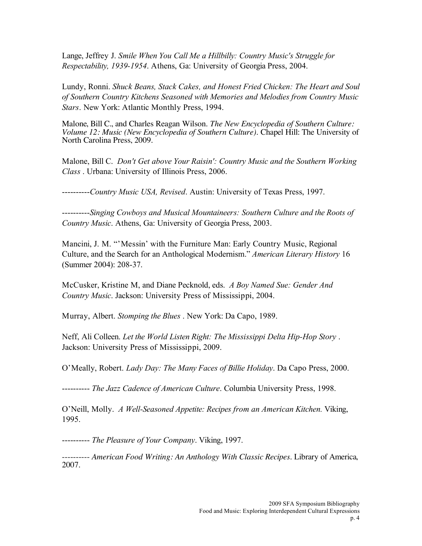Lange, Jeffrey J. *Smile When You Call Me a Hillbilly: Country Music's Struggle for Respectability, 1939-1954*. Athens, Ga: University of Georgia Press, 2004.

Lundy, Ronni. *Shuck Beans, Stack Cakes, and Honest Fried Chicken: The Heart and Soul of Southern Country Kitchens Seasoned with Memories and Melodies from Country Music Stars*. New York: Atlantic Monthly Press, 1994.

Malone, Bill C., and Charles Reagan Wilson. *The New Encyclopedia of Southern Culture: Volume 12: Music (New Encyclopedia of Southern Culture)*. Chapel Hill: The University of North Carolina Press, 2009.

Malone, Bill C. *Don't Get above Your Raisin': Country Music and the Southern Working Class* . Urbana: University of Illinois Press, 2006.

----------*Country Music USA, Revised*. Austin: University of Texas Press, 1997.

----------*Singing Cowboys and Musical Mountaineers: Southern Culture and the Roots of Country Music*. Athens, Ga: University of Georgia Press, 2003.

Mancini, J. M. "'Messin' with the Furniture Man: Early Country Music, Regional Culture, and the Search for an Anthological Modernism." *American Literary History* 16 (Summer 2004): 208-37.

McCusker, Kristine M, and Diane Pecknold, eds. *A Boy Named Sue: Gender And Country Music*. Jackson: University Press of Mississippi, 2004.

Murray, Albert. *Stomping the Blues* . New York: Da Capo, 1989.

Neff, Ali Colleen. *Let the World Listen Right: The Mississippi Delta Hip-Hop Story* . Jackson: University Press of Mississippi, 2009.

O'Meally, Robert. *Lady Day: The Many Faces of Billie Holiday*. Da Capo Press, 2000.

---------- *The Jazz Cadence of American Culture*. Columbia University Press, 1998.

O'Neill, Molly. *A Well-Seasoned Appetite: Recipes from an American Kitchen.* Viking, 1995.

---------- *The Pleasure of Your Company*. Viking, 1997.

---------- *American Food Writing: An Anthology With Classic Recipes*. Library of America, 2007.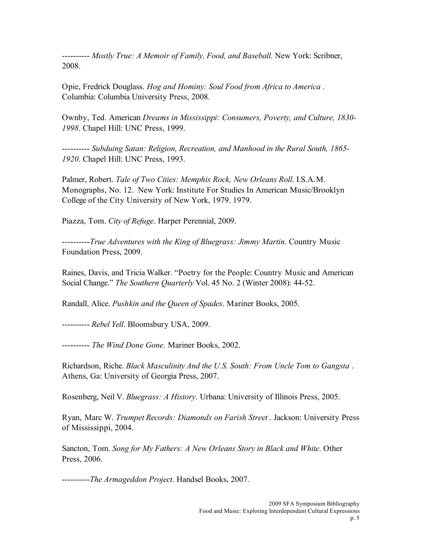---------- *Mostly True: A Memoir of Family, Food, and Baseball.* New York: Scribner, 2008.

Opie, Fredrick Douglass. *Hog and Hominy: Soul Food from Africa to America* . Columbia: Columbia University Press, 2008.

Ownby, Ted. American *Dreams in Mississippi: Consumers, Poverty, and Culture, 1830- 1998*. Chapel Hill: UNC Press, 1999.

---------- *Subduing Satan: Religion, Recreation, and Manhood in the Rural South, 1865- 1920*. Chapel Hill: UNC Press, 1993.

Palmer, Robert. *Tale of Two Cities: Memphis Rock, New Orleans Roll*. I.S.A.M. Monographs, No. 12. New York: Institute For Studies In American Music/Brooklyn College of the City University of New York, 1979. 1979.

Piazza, Tom. *City of Refuge*. Harper Perennial, 2009.

----------*True Adventures with the King of Bluegrass: Jimmy Martin*. Country Music Foundation Press, 2009.

Raines, Davis, and Tricia Walker. "Poetry for the People: Country Music and American Social Change." *The Southern Quarterly* Vol. 45 No. 2 (Winter 2008): 44-52.

Randall, Alice. *Pushkin and the Queen of Spades*. Mariner Books, 2005.

---------- *Rebel Yell*. Bloomsbury USA, 2009.

---------- *The Wind Done Gone*. Mariner Books, 2002.

Richardson, Riche. *Black Masculinity And the U.S. South: From Uncle Tom to Gangsta* . Athens, Ga: University of Georgia Press, 2007.

Rosenberg, Neil V. *Bluegrass: A History*. Urbana: University of Illinois Press, 2005.

Ryan, Marc W. *Trumpet Records: Diamonds on Farish Street* . Jackson: University Press of Mississippi, 2004.

Sancton, Tom. *Song for My Fathers: A New Orleans Story in Black and White*. Other Press, 2006.

----------*The Armageddon Project*. Handsel Books, 2007.